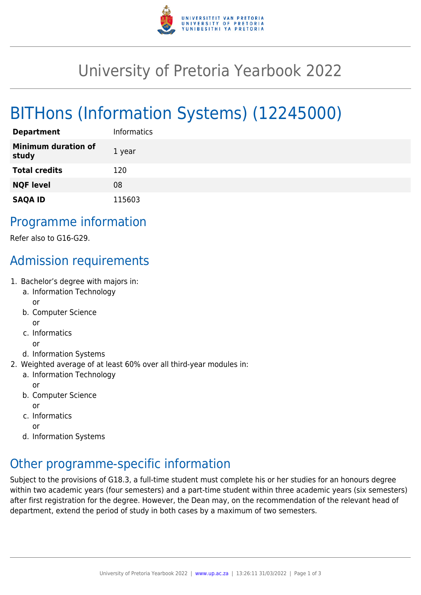

## University of Pretoria Yearbook 2022

# BITHons (Information Systems) (12245000)

| <b>Department</b>                   | <b>Informatics</b> |
|-------------------------------------|--------------------|
| <b>Minimum duration of</b><br>study | 1 year             |
| <b>Total credits</b>                | 120                |
| <b>NQF level</b>                    | 08                 |
| <b>SAQA ID</b>                      | 115603             |

#### Programme information

Refer also to G16-G29.

## Admission requirements

- 1. Bachelor's degree with majors in:
	- a. Information Technology or
	- b. Computer Science or
	- c. Informatics
	- or
	- d. Information Systems
- 2. Weighted average of at least 60% over all third-year modules in:
	- a. Information Technology

or

b. Computer Science

or

c. Informatics

or

d. Information Systems

### Other programme-specific information

Subject to the provisions of G18.3, a full-time student must complete his or her studies for an honours degree within two academic years (four semesters) and a part-time student within three academic years (six semesters) after first registration for the degree. However, the Dean may, on the recommendation of the relevant head of department, extend the period of study in both cases by a maximum of two semesters.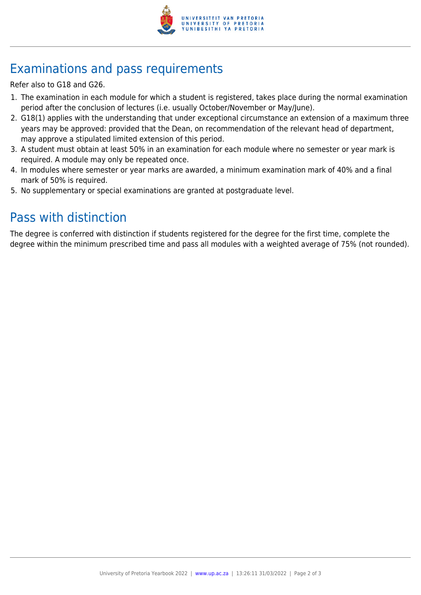

## Examinations and pass requirements

Refer also to G18 and G26.

- 1. The examination in each module for which a student is registered, takes place during the normal examination period after the conclusion of lectures (i.e. usually October/November or May/June).
- 2. G18(1) applies with the understanding that under exceptional circumstance an extension of a maximum three years may be approved: provided that the Dean, on recommendation of the relevant head of department, may approve a stipulated limited extension of this period.
- 3. A student must obtain at least 50% in an examination for each module where no semester or year mark is required. A module may only be repeated once.
- 4. In modules where semester or year marks are awarded, a minimum examination mark of 40% and a final mark of 50% is required.
- 5. No supplementary or special examinations are granted at postgraduate level.

### Pass with distinction

The degree is conferred with distinction if students registered for the degree for the first time, complete the degree within the minimum prescribed time and pass all modules with a weighted average of 75% (not rounded).